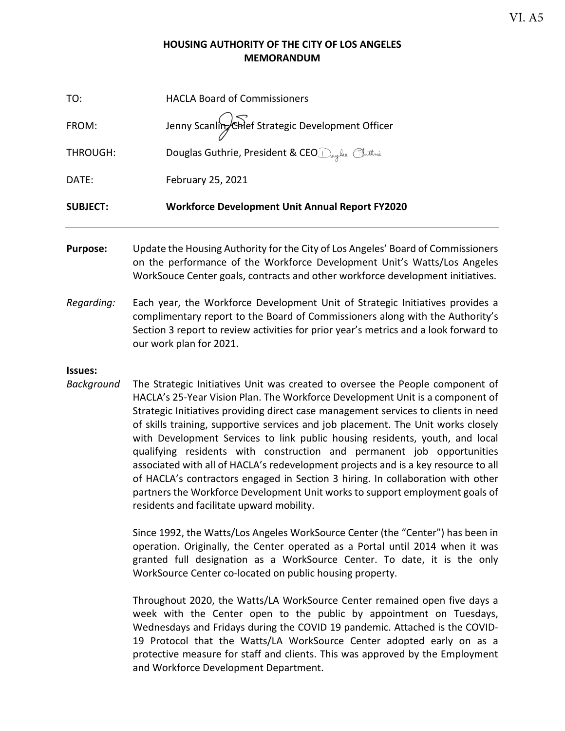#### **HOUSING AUTHORITY OF THE CITY OF LOS ANGELES MEMORANDUM**

| <b>SUBJECT:</b> | <b>Workforce Development Unit Annual Report FY2020</b> |
|-----------------|--------------------------------------------------------|
| DATE:           | February 25, 2021                                      |
| THROUGH:        | Douglas Guthrie, President & CEO Druglas Cuthrie       |
| FROM:           | Jenny Scanling Chief Strategic Development Officer     |
| TO:             | <b>HACLA Board of Commissioners</b>                    |

- **Purpose:** Update the Housing Authority for the City of Los Angeles' Board of Commissioners on the performance of the Workforce Development Unit's Watts/Los Angeles WorkSouce Center goals, contracts and other workforce development initiatives.
- *Regarding:* Each year, the Workforce Development Unit of Strategic Initiatives provides a complimentary report to the Board of Commissioners along with the Authority's Section 3 report to review activities for prior year's metrics and a look forward to our work plan for 2021.

#### **Issues:**

*Background* The Strategic Initiatives Unit was created to oversee the People component of HACLA's 25-Year Vision Plan. The Workforce Development Unit is a component of Strategic Initiatives providing direct case management services to clients in need of skills training, supportive services and job placement. The Unit works closely with Development Services to link public housing residents, youth, and local qualifying residents with construction and permanent job opportunities associated with all of HACLA's redevelopment projects and is a key resource to all of HACLA's contractors engaged in Section 3 hiring. In collaboration with other partners the Workforce Development Unit works to support employment goals of residents and facilitate upward mobility.

> Since 1992, the Watts/Los Angeles WorkSource Center (the "Center") has been in operation. Originally, the Center operated as a Portal until 2014 when it was granted full designation as a WorkSource Center. To date, it is the only WorkSource Center co-located on public housing property.

> Throughout 2020, the Watts/LA WorkSource Center remained open five days a week with the Center open to the public by appointment on Tuesdays, Wednesdays and Fridays during the COVID 19 pandemic. Attached is the COVID-19 Protocol that the Watts/LA WorkSource Center adopted early on as a protective measure for staff and clients. This was approved by the Employment and Workforce Development Department.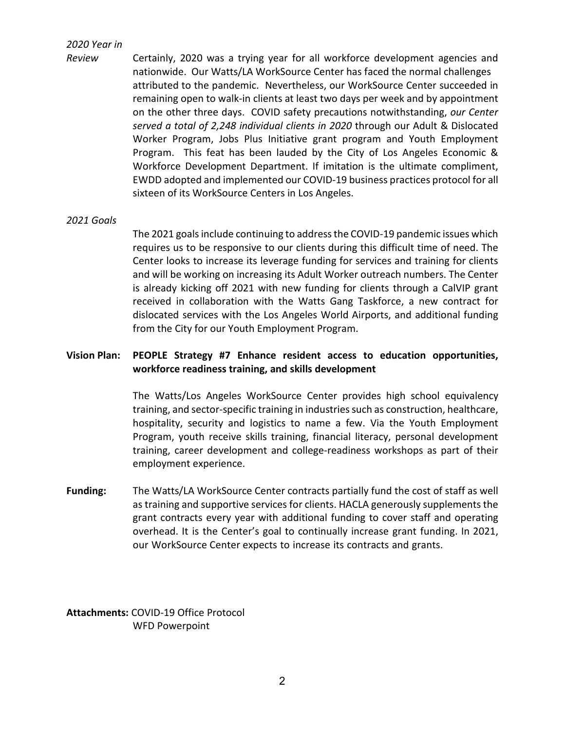#### *2020 Year in*

*Review* Certainly, 2020 was a trying year for all workforce development agencies and nationwide. Our Watts/LA WorkSource Center has faced the normal challenges attributed to the pandemic. Nevertheless, our WorkSource Center succeeded in remaining open to walk-in clients at least two days per week and by appointment on the other three days. COVID safety precautions notwithstanding, *our Center served a total of 2,248 individual clients in 2020* through our Adult & Dislocated Worker Program, Jobs Plus Initiative grant program and Youth Employment Program. This feat has been lauded by the City of Los Angeles Economic & Workforce Development Department. If imitation is the ultimate compliment, EWDD adopted and implemented our COVID-19 business practices protocol for all sixteen of its WorkSource Centers in Los Angeles.

#### *2021 Goals*

The 2021 goals include continuing to address the COVID-19 pandemic issues which requires us to be responsive to our clients during this difficult time of need. The Center looks to increase its leverage funding for services and training for clients and will be working on increasing its Adult Worker outreach numbers. The Center is already kicking off 2021 with new funding for clients through a CalVIP grant received in collaboration with the Watts Gang Taskforce, a new contract for dislocated services with the Los Angeles World Airports, and additional funding from the City for our Youth Employment Program.

#### **Vision Plan: PEOPLE Strategy #7 Enhance resident access to education opportunities, workforce readiness training, and skills development**

The Watts/Los Angeles WorkSource Center provides high school equivalency training, and sector-specific training in industries such as construction, healthcare, hospitality, security and logistics to name a few. Via the Youth Employment Program, youth receive skills training, financial literacy, personal development training, career development and college-readiness workshops as part of their employment experience.

**Funding:** The Watts/LA WorkSource Center contracts partially fund the cost of staff as well as training and supportive services for clients. HACLA generously supplements the grant contracts every year with additional funding to cover staff and operating overhead. It is the Center's goal to continually increase grant funding. In 2021, our WorkSource Center expects to increase its contracts and grants.

**Attachments:** COVID-19 Office Protocol WFD Powerpoint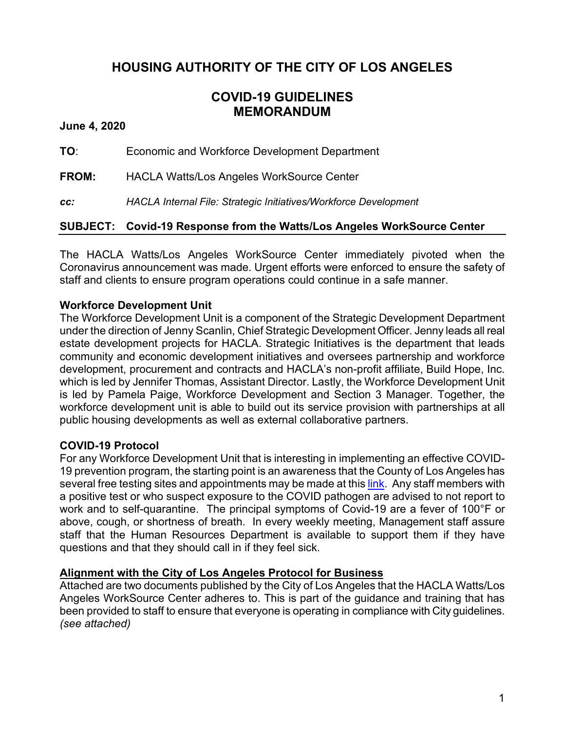# **HOUSING AUTHORITY OF THE CITY OF LOS ANGELES**

# **COVID-19 GUIDELINES MEMORANDUM**

**June 4, 2020**

**TO**: Economic and Workforce Development Department

**FROM:** HACLA Watts/Los Angeles WorkSource Center

*cc: HACLA Internal File: Strategic Initiatives/Workforce Development*

### **SUBJECT: Covid-19 Response from the Watts/Los Angeles WorkSource Center**

The HACLA Watts/Los Angeles WorkSource Center immediately pivoted when the Coronavirus announcement was made. Urgent efforts were enforced to ensure the safety of staff and clients to ensure program operations could continue in a safe manner.

#### **Workforce Development Unit**

The Workforce Development Unit is a component of the Strategic Development Department under the direction of Jenny Scanlin, Chief Strategic Development Officer. Jenny leads all real estate development projects for HACLA. Strategic Initiatives is the department that leads community and economic development initiatives and oversees partnership and workforce development, procurement and contracts and HACLA's non-profit affiliate, Build Hope, Inc. which is led by Jennifer Thomas, Assistant Director. Lastly, the Workforce Development Unit is led by Pamela Paige, Workforce Development and Section 3 Manager. Together, the workforce development unit is able to build out its service provision with partnerships at all public housing developments as well as external collaborative partners.

#### **COVID-19 Protocol**

For any Workforce Development Unit that is interesting in implementing an effective COVID-19 prevention program, the starting point is an awareness that the County of Los Angeles has several free testing sites and appointments may be made at thi[s link.](https://lacovidprod.service-now.com/rrs) Any staff members with a positive test or who suspect exposure to the COVID pathogen are advised to not report to work and to self-quarantine. The principal symptoms of Covid-19 are a fever of 100°F or above, cough, or shortness of breath. In every weekly meeting, Management staff assure staff that the Human Resources Department is available to support them if they have questions and that they should call in if they feel sick.

#### **Alignment with the City of Los Angeles Protocol for Business**

Attached are two documents published by the City of Los Angeles that the HACLA Watts/Los Angeles WorkSource Center adheres to. This is part of the guidance and training that has been provided to staff to ensure that everyone is operating in compliance with City guidelines. *(see attached)*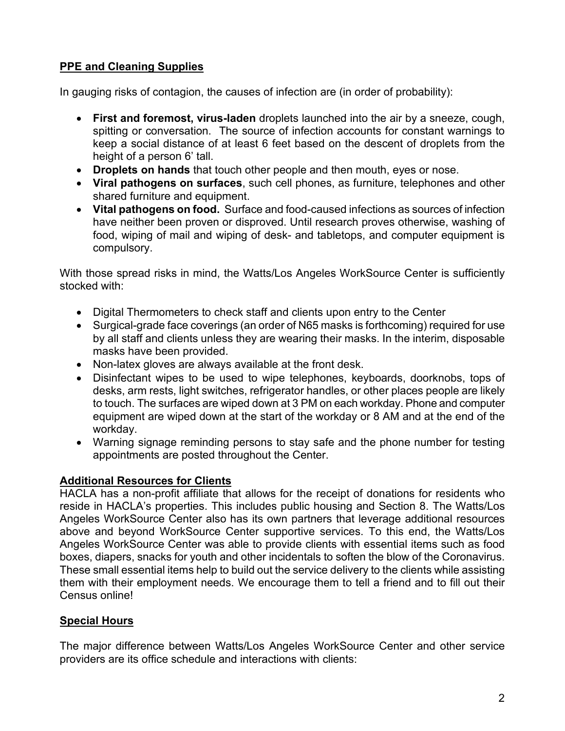# **PPE and Cleaning Supplies**

In gauging risks of contagion, the causes of infection are (in order of probability):

- **First and foremost, virus-laden** droplets launched into the air by a sneeze, cough, spitting or conversation. The source of infection accounts for constant warnings to keep a social distance of at least 6 feet based on the descent of droplets from the height of a person 6' tall.
- **Droplets on hands** that touch other people and then mouth, eyes or nose.
- **Viral pathogens on surfaces**, such cell phones, as furniture, telephones and other shared furniture and equipment.
- **Vital pathogens on food.** Surface and food-caused infections as sources of infection have neither been proven or disproved. Until research proves otherwise, washing of food, wiping of mail and wiping of desk- and tabletops, and computer equipment is compulsory.

With those spread risks in mind, the Watts/Los Angeles WorkSource Center is sufficiently stocked with:

- Digital Thermometers to check staff and clients upon entry to the Center
- Surgical-grade face coverings (an order of N65 masks is forthcoming) required for use by all staff and clients unless they are wearing their masks. In the interim, disposable masks have been provided.
- Non-latex gloves are always available at the front desk.
- Disinfectant wipes to be used to wipe telephones, keyboards, doorknobs, tops of desks, arm rests, light switches, refrigerator handles, or other places people are likely to touch. The surfaces are wiped down at 3 PM on each workday. Phone and computer equipment are wiped down at the start of the workday or 8 AM and at the end of the workday.
- Warning signage reminding persons to stay safe and the phone number for testing appointments are posted throughout the Center.

## **Additional Resources for Clients**

HACLA has a non-profit affiliate that allows for the receipt of donations for residents who reside in HACLA's properties. This includes public housing and Section 8. The Watts/Los Angeles WorkSource Center also has its own partners that leverage additional resources above and beyond WorkSource Center supportive services. To this end, the Watts/Los Angeles WorkSource Center was able to provide clients with essential items such as food boxes, diapers, snacks for youth and other incidentals to soften the blow of the Coronavirus. These small essential items help to build out the service delivery to the clients while assisting them with their employment needs. We encourage them to tell a friend and to fill out their Census online!

## **Special Hours**

The major difference between Watts/Los Angeles WorkSource Center and other service providers are its office schedule and interactions with clients: